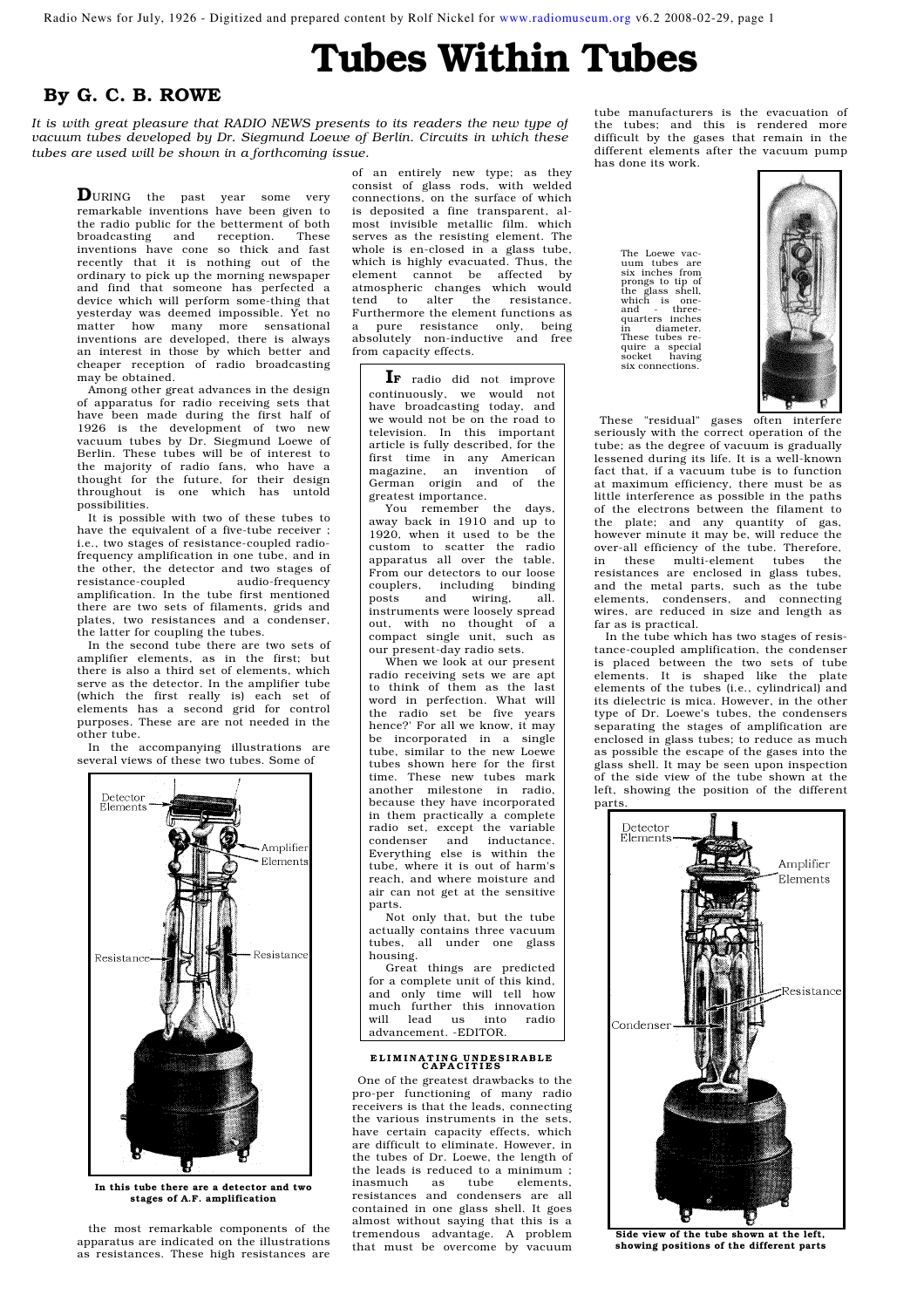Radio News for July, 1926 - Digitized and prepared content by Rolf Nickel for www.radiomuseum.org v6.2 2008-02-29, page 1

# Tubes Within Tubes

### By G. C. B. ROWE

*It is with great pleasure that RADIO NEWS presents to its readers the new type of vacuum tubes developed by Dr. Siegmund Loewe of Berlin. Circuits in which these tubes are used will be shown in a forthcoming issue.* 

DURING the past year some very remarkable inventions have been given to the radio public for the betterment of both broadcasting and reception. These inventions have cone so thick and fast recently that it is nothing out of the ordinary to pick up the morning newspaper and find that someone has perfected a device which will perform some-thing that yesterday was deemed impossible. Yet no matter how many more sensational inventions are developed, there is always an interest in those by which better and cheaper reception of radio broadcasting may be obtained.

Among other great advances in the design of apparatus for radio receiving sets that have been made during the first half of 1926 is the development of two new vacuum tubes by Dr. Siegmund Loewe of Berlin. These tubes will be of interest to the majority of radio fans, who have a thought for the future, for their design throughout is one which has untold possibilities.

It is possible with two of these tubes to have the equivalent of a five-tube receiver ; i.e., two stages of resistance-coupled radiofrequency amplification in one tube, and in the other, the detector and two stages of resistance-coupled audio-frequency amplification. In the tube first mentioned there are two sets of filaments, grids and plates, two resistances and a condenser, the latter for coupling the tubes.

In the second tube there are two sets of amplifier elements, as in the first; but there is also a third set of elements, which serve as the detector. In the amplifier tube (which the first really is) each set of elements has a second grid for control purposes. These are are not needed in the other tube.

In the accompanying illustrations are several views of these two tubes. Some of



In this tube there are a detector and two stages of A.F. amplification

the most remarkable components of the apparatus are indicated on the illustrations as resistances. These high resistances are

of an entirely new type; as they consist of glass rods, with welded connections, on the surface of which is deposited a fine transparent, almost invisible metallic film. which serves as the resisting element. The whole is en-closed in a glass tube, which is highly evacuated. Thus, the element cannot be affected by atmospheric changes which would<br>tend to alter the resistance.  $tend$  to alter the Furthermore the element functions as a pure resistance only, being absolutely non-inductive and free from capacity effects.

IF radio did not improve continuously, we would not have broadcasting today, and we would not be on the road to television. In this important article is fully described, for the first time in any American magazine, an invention of German origin and of the greatest importance.

You remember the days, away back in 1910 and up to 1920, when it used to be the custom to scatter the radio apparatus all over the table. From our detectors to our loose couplers, including binding posts and wiring, all. instruments were loosely spread out, with no thought of a compact single unit, such as our present-day radio sets.

When we look at our present radio receiving sets we are apt to think of them as the last word in perfection. What will the radio set be five years hence?' For all we know, it may be incorporated in a single tube, similar to the new Loewe tubes shown here for the first time. These new tubes mark another milestone in radio, because they have incorporated in them practically a complete radio set, except the variable<br>condenser and inductance. and inductance. Everything else is within the tube, where it is out of harm's reach, and where moisture and air can not get at the sensitive parts.

Not only that, but the tube actually contains three vacuum tubes, all under one glass housing.

Great things are predicted for a complete unit of this kind, and only time will tell how much further this innovation will lead us into radio advancement. -EDITOR.

## ELIMINATING UNDESIRABLE<br>CAPACITIES

One of the greatest drawbacks to the pro-per functioning of many radio receivers is that the leads, connecting the various instruments in the sets, have certain capacity effects, which are difficult to eliminate. However, in the tubes of Dr. Loewe, the length of the leads is reduced to a minimum ;<br>inasmuch as tube elements. inasmuch as tube elements, resistances and condensers are all contained in one glass shell. It goes almost without saying that this is a tremendous advantage. A problem that must be overcome by vacuum

tube manufacturers is the evacuation of the tubes; and this is rendered more difficult by the gases that remain in the different elements after the vacuum pump has done its work.

> The Loewe vac-<br>uum tubes are uum tubes are six inches from prongs to tip of the glass shell, which is one-and - threewith the and the three-<br>quarters inches<br>in diameter. in diameter. These tubes re-quire a special socket having six connections.



These "residual" gases often interfere seriously with the correct operation of the tube; as the degree of vacuum is gradually lessened during its life. It is a well-known fact that, if a vacuum tube is to function at maximum efficiency, there must be as little interference as possible in the paths of the electrons between the filament to the plate; and any quantity of gas, however minute it may be, will reduce the over-all efficiency of the tube. Therefore, in these multi-element tubes the resistances are enclosed in glass tubes, and the metal parts, such as the tube elements, condensers, and connecting wires, are reduced in size and length as far as is practical.

In the tube which has two stages of resistance-coupled amplification, the condenser is placed between the two sets of tube elements. It is shaped like the plate elements of the tubes (i.e., cylindrical) and its dielectric is mica. However, in the other type of Dr. Loewe's tubes, the condensers separating the stages of amplification are enclosed in glass tubes; to reduce as much as possible the escape of the gases into the glass shell. It may be seen upon inspection of the side view of the tube shown at the left, showing the position of the different parts.



Side view of the tube shown at the left, showing positions of the different parts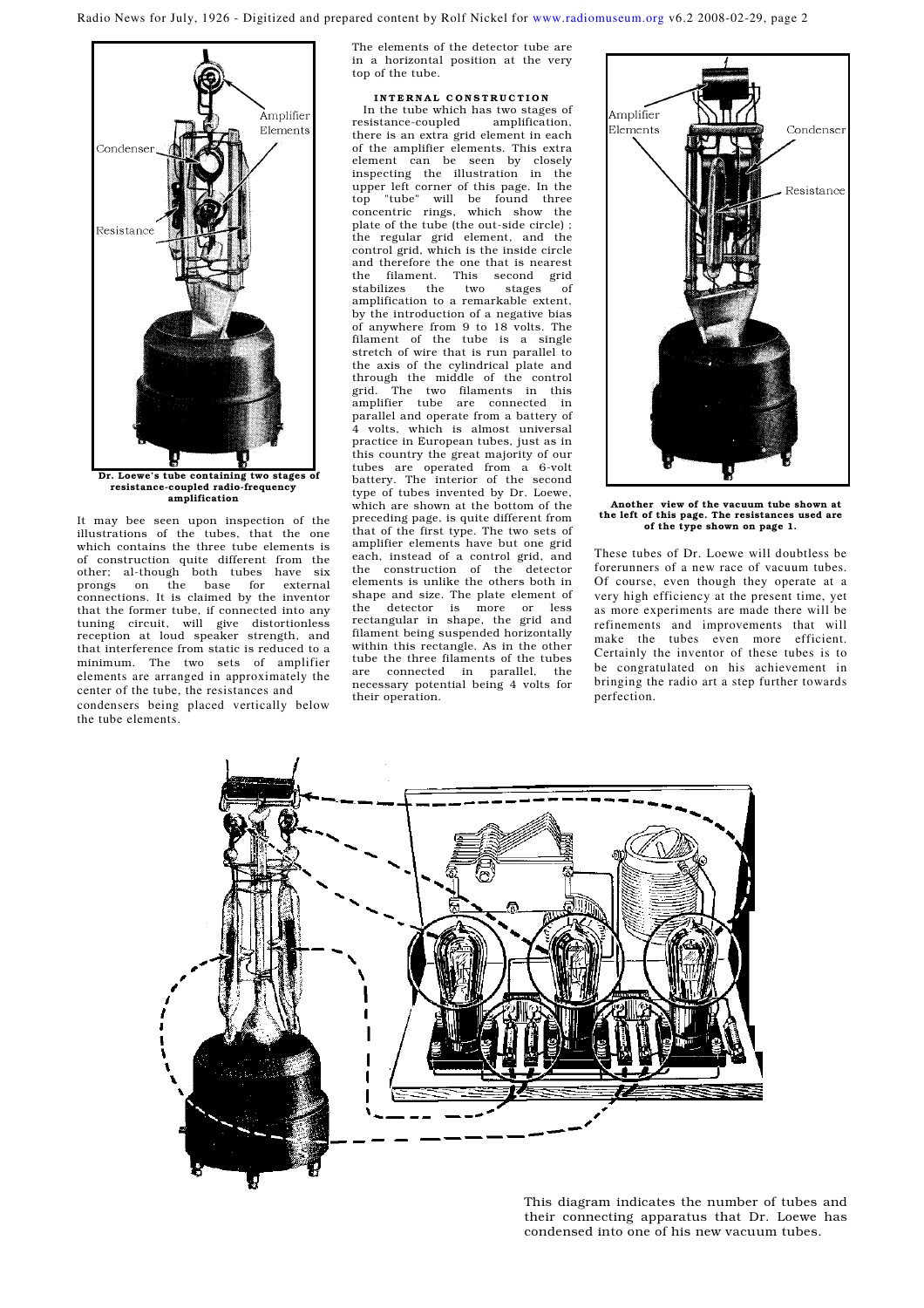Radio News for July, 1926 - Digitized and prepared content by Rolf Nickel for www.radiomuseum.org v6.2 2008-02-29, page 2



amplification It may bee seen upon inspection of the illustrations of the tubes, that the one

which contains the three tube elements is of construction quite different from the other; al-though both tubes have six prongs on the base for external prongs on the base for external connections. It is claimed by the inventor that the former tube, if connected into any tuning circuit, will give distortionless reception at loud speaker strength, and that interference from static is reduced to a minimum. The two sets of amplifier elements are arranged in approximately the center of the tube, the resistances and condensers being placed vertically below the tube elements.

The elements of the detector tube are in a horizontal position at the very top of the tube.

INTERNAL CONSTRUCTION In the tube which has two stages of<br>sistance-coupled amplification, resistance-coupled there is an extra grid element in each of the amplifier elements. This extra element can be seen by closely inspecting the illustration in the upper left corner of this page. In the top "tube" will be found three concentric rings, which show the plate of the tube (the out-side circle) ; the regular grid element, and the control grid, which is the inside circle and therefore the one that is nearest the filament. This second grid stabilizes the two stages of amplification to a remarkable extent, by the introduction of a negative bias of anywhere from 9 to 18 volts. The filament of the tube is a single stretch of wire that is run parallel to the axis of the cylindrical plate and through the middle of the control grid. The two filaments in this amplifier tube are connected in parallel and operate from a battery of 4 volts, which is almost universal practice in European tubes, just as in this country the great majority of our tubes are operated from a 6-volt battery. The interior of the second type of tubes invented by Dr. Loewe, which are shown at the bottom of the preceding page, is quite different from that of the first type. The two sets of amplifier elements have but one grid each, instead of a control grid, and the construction of the detector elements is unlike the others both in shape and size. The plate element of the detector is more or less rectangular in shape, the grid and filament being suspended horizontally within this rectangle. As in the other tube the three filaments of the tubes<br>are connected in parallel, the are connected in parallel, necessary potential being 4 volts for their operation.



Another view of the vacuum tube shown at the left of this page. The resistances used are of the type shown on page 1.

These tubes of Dr. Loewe will doubtless be forerunners of a new race of vacuum tubes. Of course, even though they operate at a very high efficiency at the present time, yet as more experiments are made there will be refinements and improvements that will make the tubes even more efficient. Certainly the inventor of these tubes is to be congratulated on his achievement in bringing the radio art a step further towards perfection.



This diagram indicates the number of tubes and their connecting apparatus that Dr. Loewe has condensed into one of his new vacuum tubes.